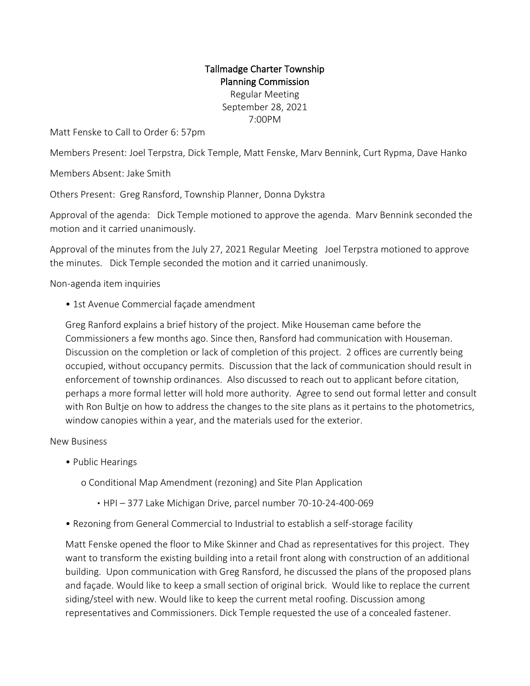## Tallmadge Charter Township Planning Commission Regular Meeting September 28, 2021 7:00PM

Matt Fenske to Call to Order 6: 57pm

Members Present: Joel Terpstra, Dick Temple, Matt Fenske, Marv Bennink, Curt Rypma, Dave Hanko

Members Absent: Jake Smith

Others Present: Greg Ransford, Township Planner, Donna Dykstra

Approval of the agenda: Dick Temple motioned to approve the agenda. Marv Bennink seconded the motion and it carried unanimously.

Approval of the minutes from the July 27, 2021 Regular Meeting Joel Terpstra motioned to approve the minutes. Dick Temple seconded the motion and it carried unanimously.

Non-agenda item inquiries

• 1st Avenue Commercial façade amendment

Greg Ranford explains a brief history of the project. Mike Houseman came before the Commissioners a few months ago. Since then, Ransford had communication with Houseman. Discussion on the completion or lack of completion of this project. 2 offices are currently being occupied, without occupancy permits. Discussion that the lack of communication should result in enforcement of township ordinances. Also discussed to reach out to applicant before citation, perhaps a more formal letter will hold more authority. Agree to send out formal letter and consult with Ron Bultie on how to address the changes to the site plans as it pertains to the photometrics, window canopies within a year, and the materials used for the exterior.

New Business

• Public Hearings

o Conditional Map Amendment (rezoning) and Site Plan Application

- HPI 377 Lake Michigan Drive, parcel number 70-10-24-400-069
- Rezoning from General Commercial to Industrial to establish a self-storage facility

Matt Fenske opened the floor to Mike Skinner and Chad as representatives for this project. They want to transform the existing building into a retail front along with construction of an additional building. Upon communication with Greg Ransford, he discussed the plans of the proposed plans and façade. Would like to keep a small section of original brick. Would like to replace the current siding/steel with new. Would like to keep the current metal roofing. Discussion among representatives and Commissioners. Dick Temple requested the use of a concealed fastener.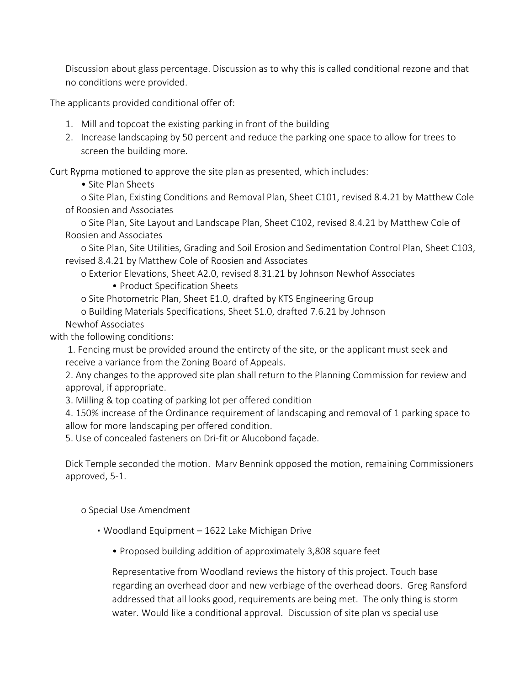Discussion about glass percentage. Discussion as to why this is called conditional rezone and that no conditions were provided.

The applicants provided conditional offer of:

- 1. Mill and topcoat the existing parking in front of the building
- 2. Increase landscaping by 50 percent and reduce the parking one space to allow for trees to screen the building more.

Curt Rypma motioned to approve the site plan as presented, which includes:

• Site Plan Sheets

o Site Plan, Existing Conditions and Removal Plan, Sheet C101, revised 8.4.21 by Matthew Cole of Roosien and Associates

o Site Plan, Site Layout and Landscape Plan, Sheet C102, revised 8.4.21 by Matthew Cole of Roosien and Associates

o Site Plan, Site Utilities, Grading and Soil Erosion and Sedimentation Control Plan, Sheet C103, revised 8.4.21 by Matthew Cole of Roosien and Associates

o Exterior Elevations, Sheet A2.0, revised 8.31.21 by Johnson Newhof Associates • Product Specification Sheets

o Site Photometric Plan, Sheet E1.0, drafted by KTS Engineering Group

o Building Materials Specifications, Sheet S1.0, drafted 7.6.21 by Johnson

Newhof Associates

with the following conditions:

1. Fencing must be provided around the entirety of the site, or the applicant must seek and receive a variance from the Zoning Board of Appeals.

2. Any changes to the approved site plan shall return to the Planning Commission for review and approval, if appropriate.

3. Milling & top coating of parking lot per offered condition

4. 150% increase of the Ordinance requirement of landscaping and removal of 1 parking space to allow for more landscaping per offered condition.

5. Use of concealed fasteners on Dri-fit or Alucobond façade.

Dick Temple seconded the motion. Marv Bennink opposed the motion, remaining Commissioners approved, 5-1.

o Special Use Amendment

- Woodland Equipment 1622 Lake Michigan Drive
	- Proposed building addition of approximately 3,808 square feet

Representative from Woodland reviews the history of this project. Touch base regarding an overhead door and new verbiage of the overhead doors. Greg Ransford addressed that all looks good, requirements are being met. The only thing is storm water. Would like a conditional approval. Discussion of site plan vs special use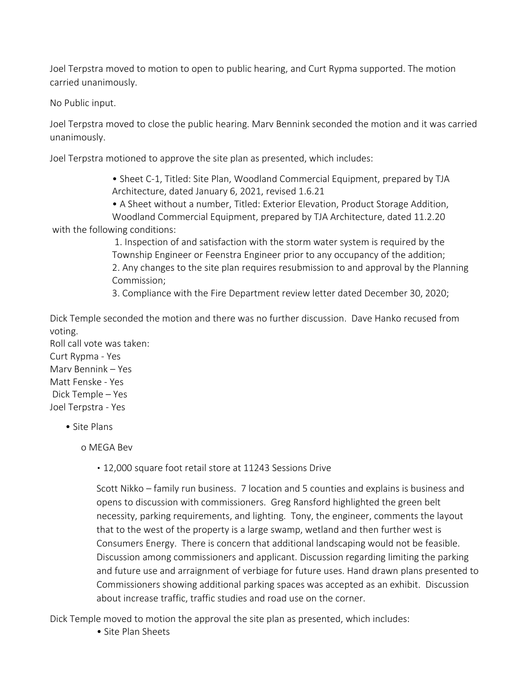Joel Terpstra moved to motion to open to public hearing, and Curt Rypma supported. The motion carried unanimously.

No Public input.

Joel Terpstra moved to close the public hearing. Marv Bennink seconded the motion and it was carried unanimously.

Joel Terpstra motioned to approve the site plan as presented, which includes:

• Sheet C-1, Titled: Site Plan, Woodland Commercial Equipment, prepared by TJA Architecture, dated January 6, 2021, revised 1.6.21

• A Sheet without a number, Titled: Exterior Elevation, Product Storage Addition,

Woodland Commercial Equipment, prepared by TJA Architecture, dated 11.2.20 with the following conditions:

> 1. Inspection of and satisfaction with the storm water system is required by the Township Engineer or Feenstra Engineer prior to any occupancy of the addition; 2. Any changes to the site plan requires resubmission to and approval by the Planning Commission;

3. Compliance with the Fire Department review letter dated December 30, 2020;

Dick Temple seconded the motion and there was no further discussion. Dave Hanko recused from voting.

Roll call vote was taken: Curt Rypma - Yes Marv Bennink – Yes Matt Fenske - Yes Dick Temple – Yes Joel Terpstra - Yes

• Site Plans

o MEGA Bev

▪ 12,000 square foot retail store at 11243 Sessions Drive

Scott Nikko – family run business. 7 location and 5 counties and explains is business and opens to discussion with commissioners. Greg Ransford highlighted the green belt necessity, parking requirements, and lighting. Tony, the engineer, comments the layout that to the west of the property is a large swamp, wetland and then further west is Consumers Energy. There is concern that additional landscaping would not be feasible. Discussion among commissioners and applicant. Discussion regarding limiting the parking and future use and arraignment of verbiage for future uses. Hand drawn plans presented to Commissioners showing additional parking spaces was accepted as an exhibit. Discussion about increase traffic, traffic studies and road use on the corner.

Dick Temple moved to motion the approval the site plan as presented, which includes:

• Site Plan Sheets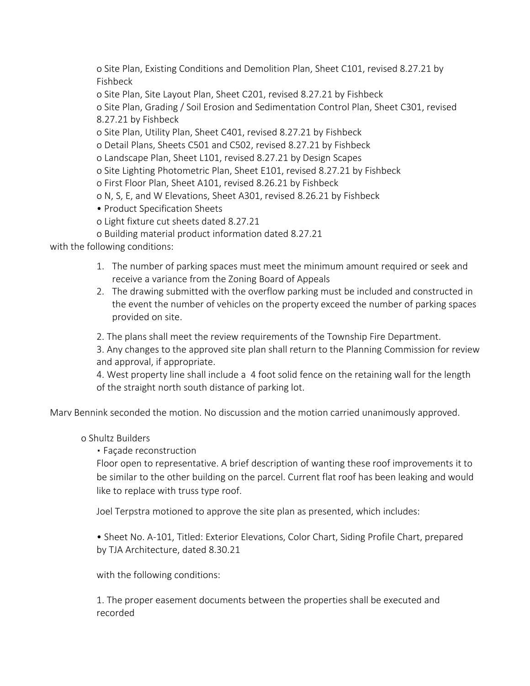o Site Plan, Existing Conditions and Demolition Plan, Sheet C101, revised 8.27.21 by Fishbeck

o Site Plan, Site Layout Plan, Sheet C201, revised 8.27.21 by Fishbeck

o Site Plan, Grading / Soil Erosion and Sedimentation Control Plan, Sheet C301, revised 8.27.21 by Fishbeck

o Site Plan, Utility Plan, Sheet C401, revised 8.27.21 by Fishbeck

o Detail Plans, Sheets C501 and C502, revised 8.27.21 by Fishbeck

o Landscape Plan, Sheet L101, revised 8.27.21 by Design Scapes

o Site Lighting Photometric Plan, Sheet E101, revised 8.27.21 by Fishbeck

o First Floor Plan, Sheet A101, revised 8.26.21 by Fishbeck

o N, S, E, and W Elevations, Sheet A301, revised 8.26.21 by Fishbeck

• Product Specification Sheets

o Light fixture cut sheets dated 8.27.21

o Building material product information dated 8.27.21

with the following conditions:

- 1. The number of parking spaces must meet the minimum amount required or seek and receive a variance from the Zoning Board of Appeals
- 2. The drawing submitted with the overflow parking must be included and constructed in the event the number of vehicles on the property exceed the number of parking spaces provided on site.

2. The plans shall meet the review requirements of the Township Fire Department.

3. Any changes to the approved site plan shall return to the Planning Commission for review and approval, if appropriate.

4. West property line shall include a 4 foot solid fence on the retaining wall for the length of the straight north south distance of parking lot.

Marv Bennink seconded the motion. No discussion and the motion carried unanimously approved.

## o Shultz Builders

• Facade reconstruction

Floor open to representative. A brief description of wanting these roof improvements it to be similar to the other building on the parcel. Current flat roof has been leaking and would like to replace with truss type roof.

Joel Terpstra motioned to approve the site plan as presented, which includes:

• Sheet No. A-101, Titled: Exterior Elevations, Color Chart, Siding Profile Chart, prepared by TJA Architecture, dated 8.30.21

with the following conditions:

1. The proper easement documents between the properties shall be executed and recorded